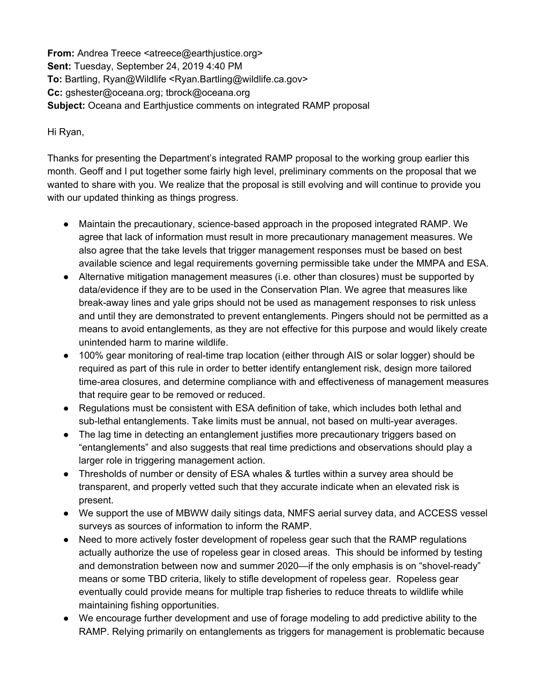**From:** Andrea Treece <atreece@earthjustice.org> **Sent:** Tuesday, September 24, 2019 4:40 PM **To:** Bartling, Ryan@Wildlife <Ryan.Bartling@wildlife.ca.gov> **Cc:** gshester@oceana.org; tbrock@oceana.org **Subject:** Oceana and Earthjustice comments on integrated RAMP proposal

Hi Ryan,

Thanks for presenting the Department's integrated RAMP proposal to the working group earlier this month. Geoff and I put together some fairly high level, preliminary comments on the proposal that we wanted to share with you. We realize that the proposal is still evolving and will continue to provide you with our updated thinking as things progress.

- Maintain the precautionary, science-based approach in the proposed integrated RAMP. We agree that lack of information must result in more precautionary management measures. We also agree that the take levels that trigger management responses must be based on best available science and legal requirements governing permissible take under the MMPA and ESA.
- Alternative mitigation management measures (i.e. other than closures) must be supported by data/evidence if they are to be used in the Conservation Plan. We agree that measures like break-away lines and yale grips should not be used as management responses to risk unless and until they are demonstrated to prevent entanglements. Pingers should not be permitted as a means to avoid entanglements, as they are not effective for this purpose and would likely create unintended harm to marine wildlife.
- 100% gear monitoring of real-time trap location (either through AIS or solar logger) should be required as part of this rule in order to better identify entanglement risk, design more tailored time-area closures, and determine compliance with and effectiveness of management measures that require gear to be removed or reduced.
- Regulations must be consistent with ESA definition of take, which includes both lethal and sub-lethal entanglements. Take limits must be annual, not based on multi-year averages.
- The lag time in detecting an entanglement justifies more precautionary triggers based on "entanglements" and also suggests that real time predictions and observations should play a larger role in triggering management action.
- Thresholds of number or density of ESA whales & turtles within a survey area should be transparent, and properly vetted such that they accurate indicate when an elevated risk is present.
- We support the use of MBWW daily sitings data, NMFS aerial survey data, and ACCESS vessel surveys as sources of information to inform the RAMP.
- Need to more actively foster development of ropeless gear such that the RAMP regulations actually authorize the use of ropeless gear in closed areas. This should be informed by testing and demonstration between now and summer 2020—if the only emphasis is on "shovel-ready" means or some TBD criteria, likely to stifle development of ropeless gear. Ropeless gear eventually could provide means for multiple trap fisheries to reduce threats to wildlife while maintaining fishing opportunities.
- We encourage further development and use of forage modeling to add predictive ability to the RAMP. Relying primarily on entanglements as triggers for management is problematic because